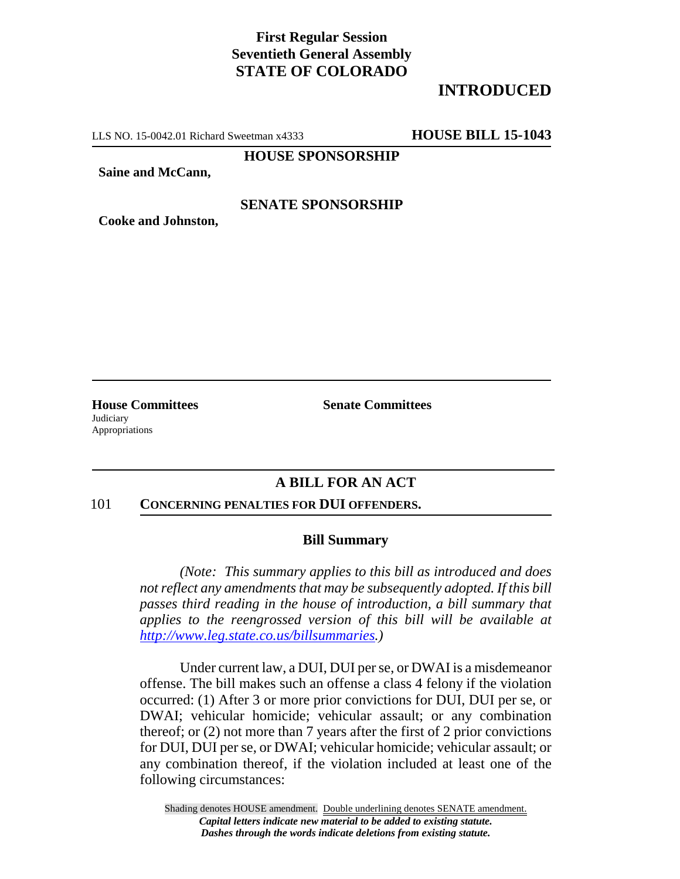# **First Regular Session Seventieth General Assembly STATE OF COLORADO**

# **INTRODUCED**

LLS NO. 15-0042.01 Richard Sweetman x4333 **HOUSE BILL 15-1043**

**HOUSE SPONSORSHIP**

**Saine and McCann,**

## **SENATE SPONSORSHIP**

**Cooke and Johnston,**

**Judiciary** Appropriations

**House Committees Senate Committees** 

## **A BILL FOR AN ACT**

#### 101 **CONCERNING PENALTIES FOR DUI OFFENDERS.**

### **Bill Summary**

*(Note: This summary applies to this bill as introduced and does not reflect any amendments that may be subsequently adopted. If this bill passes third reading in the house of introduction, a bill summary that applies to the reengrossed version of this bill will be available at http://www.leg.state.co.us/billsummaries.)*

Under current law, a DUI, DUI per se, or DWAI is a misdemeanor offense. The bill makes such an offense a class 4 felony if the violation occurred: (1) After 3 or more prior convictions for DUI, DUI per se, or DWAI; vehicular homicide; vehicular assault; or any combination thereof; or (2) not more than 7 years after the first of 2 prior convictions for DUI, DUI per se, or DWAI; vehicular homicide; vehicular assault; or any combination thereof, if the violation included at least one of the following circumstances: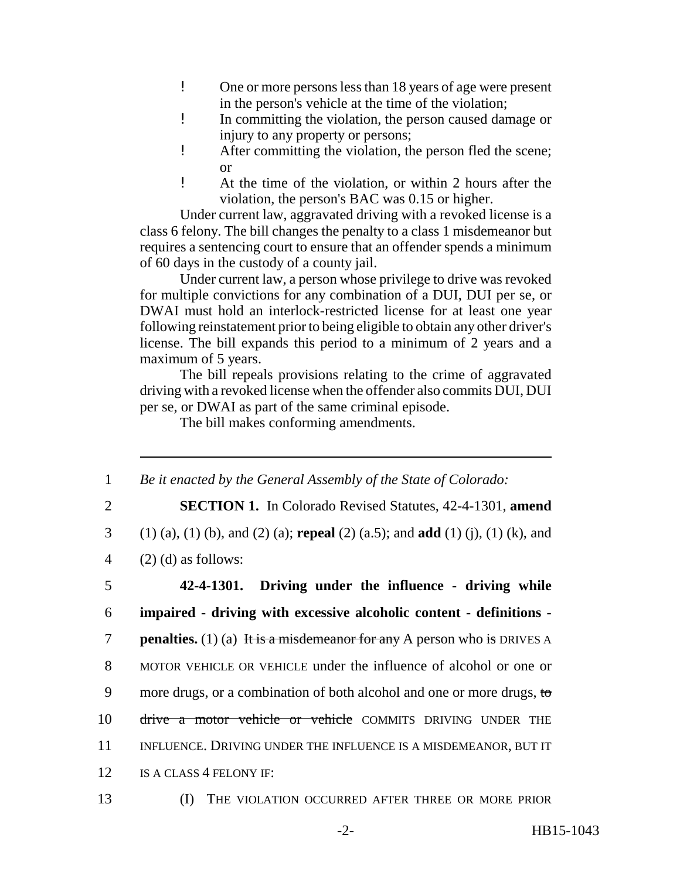- ! One or more persons less than 18 years of age were present in the person's vehicle at the time of the violation;
- ! In committing the violation, the person caused damage or injury to any property or persons;
- ! After committing the violation, the person fled the scene; or
- ! At the time of the violation, or within 2 hours after the violation, the person's BAC was 0.15 or higher.

Under current law, aggravated driving with a revoked license is a class 6 felony. The bill changes the penalty to a class 1 misdemeanor but requires a sentencing court to ensure that an offender spends a minimum of 60 days in the custody of a county jail.

Under current law, a person whose privilege to drive was revoked for multiple convictions for any combination of a DUI, DUI per se, or DWAI must hold an interlock-restricted license for at least one year following reinstatement prior to being eligible to obtain any other driver's license. The bill expands this period to a minimum of 2 years and a maximum of 5 years.

The bill repeals provisions relating to the crime of aggravated driving with a revoked license when the offender also commits DUI, DUI per se, or DWAI as part of the same criminal episode.

The bill makes conforming amendments.

1 *Be it enacted by the General Assembly of the State of Colorado:*

2 **SECTION 1.** In Colorado Revised Statutes, 42-4-1301, **amend**

- 3 (1) (a), (1) (b), and (2) (a); **repeal** (2) (a.5); and **add** (1) (j), (1) (k), and
- 4  $(2)$  (d) as follows:

5 **42-4-1301. Driving under the influence - driving while** 6 **impaired - driving with excessive alcoholic content - definitions penalties.** (1) (a) It is a misdemeanor for any A person who is DRIVES A 8 MOTOR VEHICLE OR VEHICLE under the influence of alcohol or one or 9 more drugs, or a combination of both alcohol and one or more drugs, to 10 drive a motor vehicle or vehicle COMMITS DRIVING UNDER THE 11 INFLUENCE. DRIVING UNDER THE INFLUENCE IS A MISDEMEANOR, BUT IT 12 IS A CLASS 4 FELONY IF:

13 (I) THE VIOLATION OCCURRED AFTER THREE OR MORE PRIOR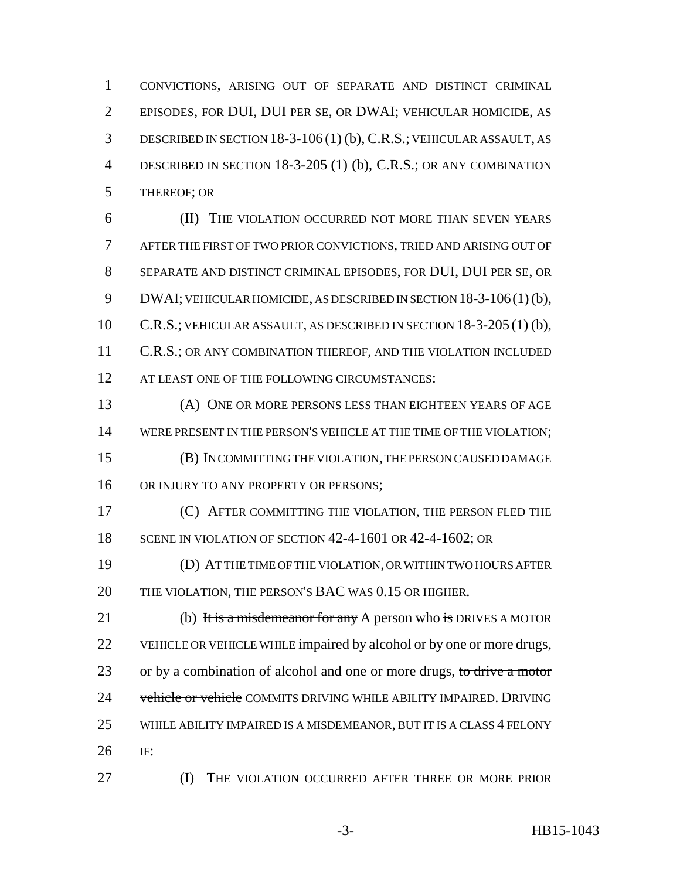CONVICTIONS, ARISING OUT OF SEPARATE AND DISTINCT CRIMINAL EPISODES, FOR DUI, DUI PER SE, OR DWAI; VEHICULAR HOMICIDE, AS DESCRIBED IN SECTION 18-3-106 (1) (b), C.R.S.; VEHICULAR ASSAULT, AS DESCRIBED IN SECTION 18-3-205 (1) (b), C.R.S.; OR ANY COMBINATION THEREOF; OR

 (II) THE VIOLATION OCCURRED NOT MORE THAN SEVEN YEARS AFTER THE FIRST OF TWO PRIOR CONVICTIONS, TRIED AND ARISING OUT OF SEPARATE AND DISTINCT CRIMINAL EPISODES, FOR DUI, DUI PER SE, OR 9 DWAI; VEHICULAR HOMICIDE, AS DESCRIBED IN SECTION 18-3-106(1)(b), C.R.S.; VEHICULAR ASSAULT, AS DESCRIBED IN SECTION 18-3-205 (1) (b), 11 C.R.S.; OR ANY COMBINATION THEREOF, AND THE VIOLATION INCLUDED 12 AT LEAST ONE OF THE FOLLOWING CIRCUMSTANCES:

 (A) ONE OR MORE PERSONS LESS THAN EIGHTEEN YEARS OF AGE WERE PRESENT IN THE PERSON'S VEHICLE AT THE TIME OF THE VIOLATION; (B) IN COMMITTING THE VIOLATION, THE PERSON CAUSED DAMAGE 16 OR INJURY TO ANY PROPERTY OR PERSONS;

 (C) AFTER COMMITTING THE VIOLATION, THE PERSON FLED THE 18 SCENE IN VIOLATION OF SECTION 42-4-1601 OR 42-4-1602; OR

 (D) AT THE TIME OF THE VIOLATION, OR WITHIN TWO HOURS AFTER THE VIOLATION, THE PERSON'S BAC WAS 0.15 OR HIGHER.

21 (b) It is a misdemeanor for any A person who is DRIVES A MOTOR VEHICLE OR VEHICLE WHILE impaired by alcohol or by one or more drugs, 23 or by a combination of alcohol and one or more drugs, to drive a motor 24 vehicle or vehicle COMMITS DRIVING WHILE ABILITY IMPAIRED. DRIVING 25 WHILE ABILITY IMPAIRED IS A MISDEMEANOR, BUT IT IS A CLASS 4 FELONY IF:

(I) THE VIOLATION OCCURRED AFTER THREE OR MORE PRIOR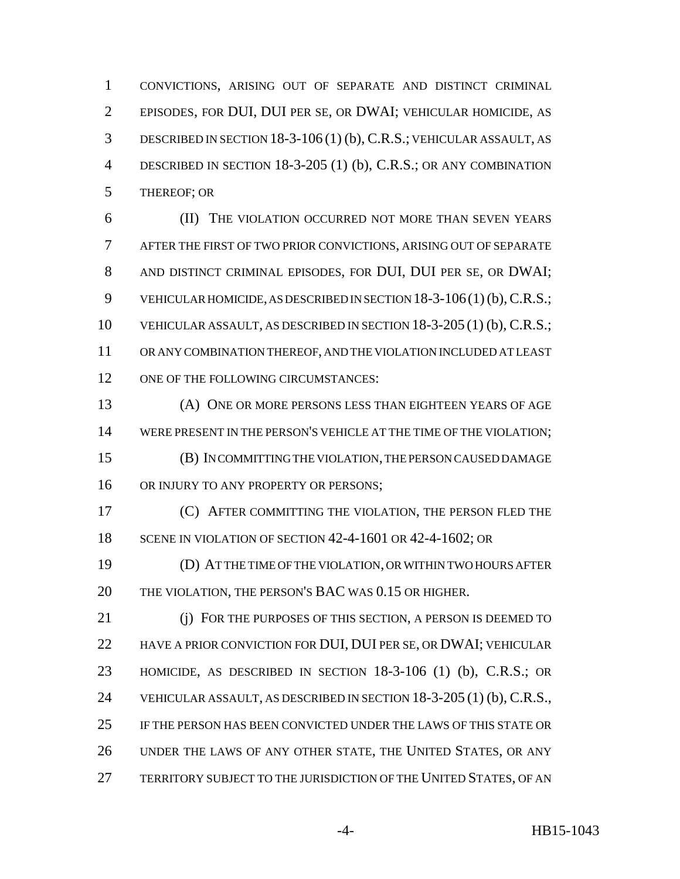CONVICTIONS, ARISING OUT OF SEPARATE AND DISTINCT CRIMINAL EPISODES, FOR DUI, DUI PER SE, OR DWAI; VEHICULAR HOMICIDE, AS DESCRIBED IN SECTION 18-3-106 (1) (b), C.R.S.; VEHICULAR ASSAULT, AS DESCRIBED IN SECTION 18-3-205 (1) (b), C.R.S.; OR ANY COMBINATION THEREOF; OR

 (II) THE VIOLATION OCCURRED NOT MORE THAN SEVEN YEARS AFTER THE FIRST OF TWO PRIOR CONVICTIONS, ARISING OUT OF SEPARATE AND DISTINCT CRIMINAL EPISODES, FOR DUI, DUI PER SE, OR DWAI; VEHICULAR HOMICIDE, AS DESCRIBED IN SECTION 18-3-106(1) (b), C.R.S.; VEHICULAR ASSAULT, AS DESCRIBED IN SECTION 18-3-205 (1) (b), C.R.S.; OR ANY COMBINATION THEREOF, AND THE VIOLATION INCLUDED AT LEAST 12 ONE OF THE FOLLOWING CIRCUMSTANCES:

 (A) ONE OR MORE PERSONS LESS THAN EIGHTEEN YEARS OF AGE WERE PRESENT IN THE PERSON'S VEHICLE AT THE TIME OF THE VIOLATION; (B) IN COMMITTING THE VIOLATION, THE PERSON CAUSED DAMAGE 16 OR INJURY TO ANY PROPERTY OR PERSONS;

 (C) AFTER COMMITTING THE VIOLATION, THE PERSON FLED THE 18 SCENE IN VIOLATION OF SECTION 42-4-1601 OR 42-4-1602; OR

 (D) AT THE TIME OF THE VIOLATION, OR WITHIN TWO HOURS AFTER THE VIOLATION, THE PERSON'S BAC WAS 0.15 OR HIGHER.

 (j) FOR THE PURPOSES OF THIS SECTION, A PERSON IS DEEMED TO HAVE A PRIOR CONVICTION FOR DUI, DUI PER SE, OR DWAI; VEHICULAR HOMICIDE, AS DESCRIBED IN SECTION 18-3-106 (1) (b), C.R.S.; OR VEHICULAR ASSAULT, AS DESCRIBED IN SECTION 18-3-205 (1) (b), C.R.S., IF THE PERSON HAS BEEN CONVICTED UNDER THE LAWS OF THIS STATE OR UNDER THE LAWS OF ANY OTHER STATE, THE UNITED STATES, OR ANY TERRITORY SUBJECT TO THE JURISDICTION OF THE UNITED STATES, OF AN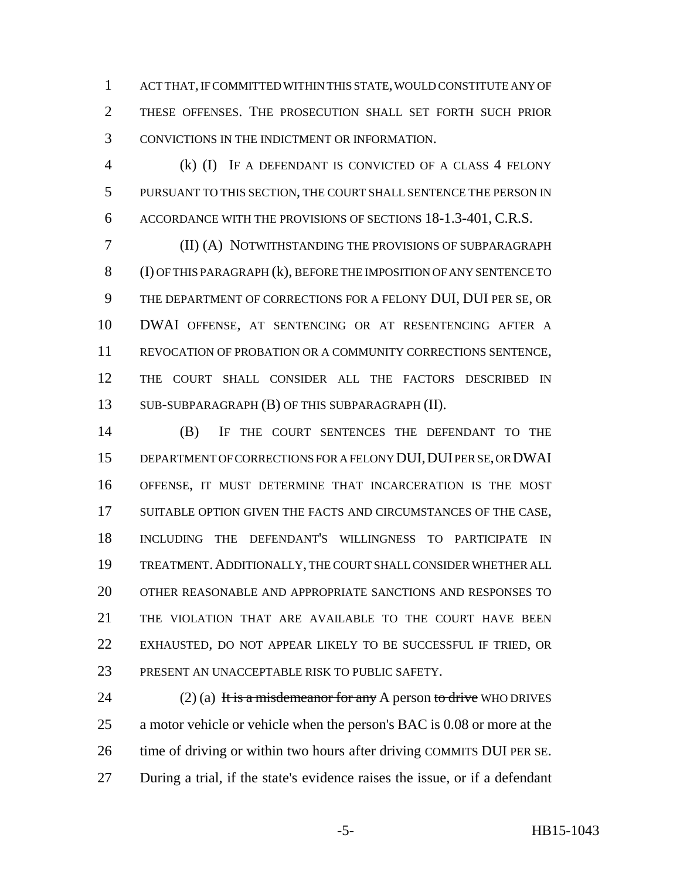ACT THAT, IF COMMITTED WITHIN THIS STATE, WOULD CONSTITUTE ANY OF THESE OFFENSES. THE PROSECUTION SHALL SET FORTH SUCH PRIOR CONVICTIONS IN THE INDICTMENT OR INFORMATION.

 (k) (I) IF A DEFENDANT IS CONVICTED OF A CLASS 4 FELONY PURSUANT TO THIS SECTION, THE COURT SHALL SENTENCE THE PERSON IN ACCORDANCE WITH THE PROVISIONS OF SECTIONS 18-1.3-401, C.R.S.

 (II) (A) NOTWITHSTANDING THE PROVISIONS OF SUBPARAGRAPH (I) OF THIS PARAGRAPH (k), BEFORE THE IMPOSITION OF ANY SENTENCE TO THE DEPARTMENT OF CORRECTIONS FOR A FELONY DUI, DUI PER SE, OR DWAI OFFENSE, AT SENTENCING OR AT RESENTENCING AFTER A REVOCATION OF PROBATION OR A COMMUNITY CORRECTIONS SENTENCE, THE COURT SHALL CONSIDER ALL THE FACTORS DESCRIBED IN SUB-SUBPARAGRAPH (B) OF THIS SUBPARAGRAPH (II).

 (B) IF THE COURT SENTENCES THE DEFENDANT TO THE DEPARTMENT OF CORRECTIONS FOR A FELONY DUI,DUI PER SE, OR DWAI OFFENSE, IT MUST DETERMINE THAT INCARCERATION IS THE MOST 17 SUITABLE OPTION GIVEN THE FACTS AND CIRCUMSTANCES OF THE CASE, INCLUDING THE DEFENDANT'S WILLINGNESS TO PARTICIPATE IN TREATMENT.ADDITIONALLY, THE COURT SHALL CONSIDER WHETHER ALL OTHER REASONABLE AND APPROPRIATE SANCTIONS AND RESPONSES TO THE VIOLATION THAT ARE AVAILABLE TO THE COURT HAVE BEEN EXHAUSTED, DO NOT APPEAR LIKELY TO BE SUCCESSFUL IF TRIED, OR PRESENT AN UNACCEPTABLE RISK TO PUBLIC SAFETY.

24 (2) (a) It is a misdemeanor for any A person to drive WHO DRIVES a motor vehicle or vehicle when the person's BAC is 0.08 or more at the time of driving or within two hours after driving COMMITS DUI PER SE. During a trial, if the state's evidence raises the issue, or if a defendant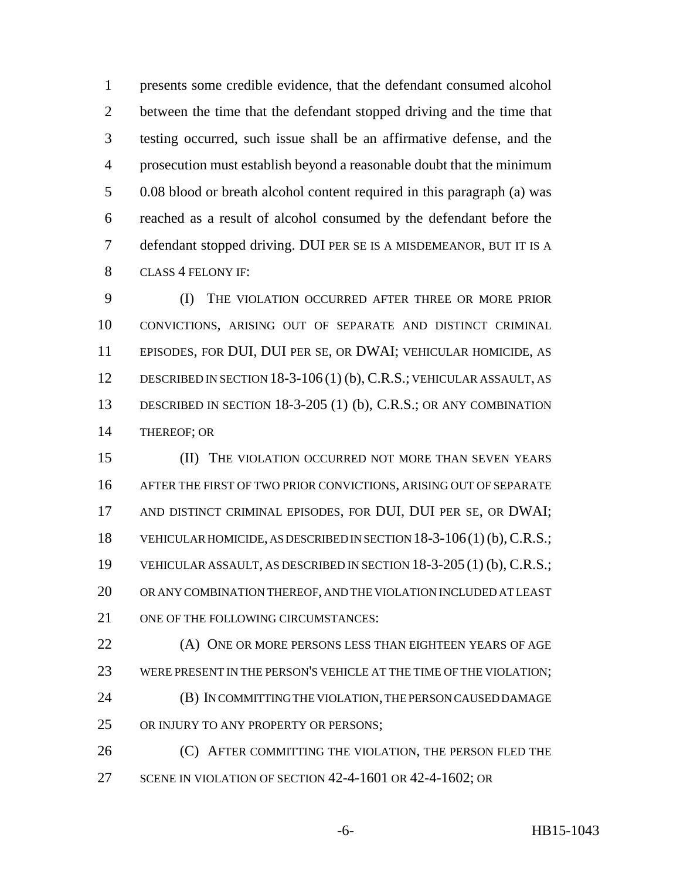presents some credible evidence, that the defendant consumed alcohol between the time that the defendant stopped driving and the time that testing occurred, such issue shall be an affirmative defense, and the prosecution must establish beyond a reasonable doubt that the minimum 0.08 blood or breath alcohol content required in this paragraph (a) was reached as a result of alcohol consumed by the defendant before the defendant stopped driving. DUI PER SE IS A MISDEMEANOR, BUT IT IS A CLASS 4 FELONY IF:

 (I) THE VIOLATION OCCURRED AFTER THREE OR MORE PRIOR CONVICTIONS, ARISING OUT OF SEPARATE AND DISTINCT CRIMINAL EPISODES, FOR DUI, DUI PER SE, OR DWAI; VEHICULAR HOMICIDE, AS DESCRIBED IN SECTION 18-3-106 (1) (b), C.R.S.; VEHICULAR ASSAULT, AS DESCRIBED IN SECTION 18-3-205 (1) (b), C.R.S.; OR ANY COMBINATION THEREOF; OR

**(II)** THE VIOLATION OCCURRED NOT MORE THAN SEVEN YEARS AFTER THE FIRST OF TWO PRIOR CONVICTIONS, ARISING OUT OF SEPARATE AND DISTINCT CRIMINAL EPISODES, FOR DUI, DUI PER SE, OR DWAI; 18 VEHICULAR HOMICIDE, AS DESCRIBED IN SECTION 18-3-106(1) (b), C.R.S.; VEHICULAR ASSAULT, AS DESCRIBED IN SECTION 18-3-205 (1) (b), C.R.S.; OR ANY COMBINATION THEREOF, AND THE VIOLATION INCLUDED AT LEAST 21 ONE OF THE FOLLOWING CIRCUMSTANCES:

 (A) ONE OR MORE PERSONS LESS THAN EIGHTEEN YEARS OF AGE WERE PRESENT IN THE PERSON'S VEHICLE AT THE TIME OF THE VIOLATION; (B) IN COMMITTING THE VIOLATION, THE PERSON CAUSED DAMAGE OR INJURY TO ANY PROPERTY OR PERSONS;

**(C) AFTER COMMITTING THE VIOLATION, THE PERSON FLED THE** 27 SCENE IN VIOLATION OF SECTION 42-4-1601 OR 42-4-1602; OR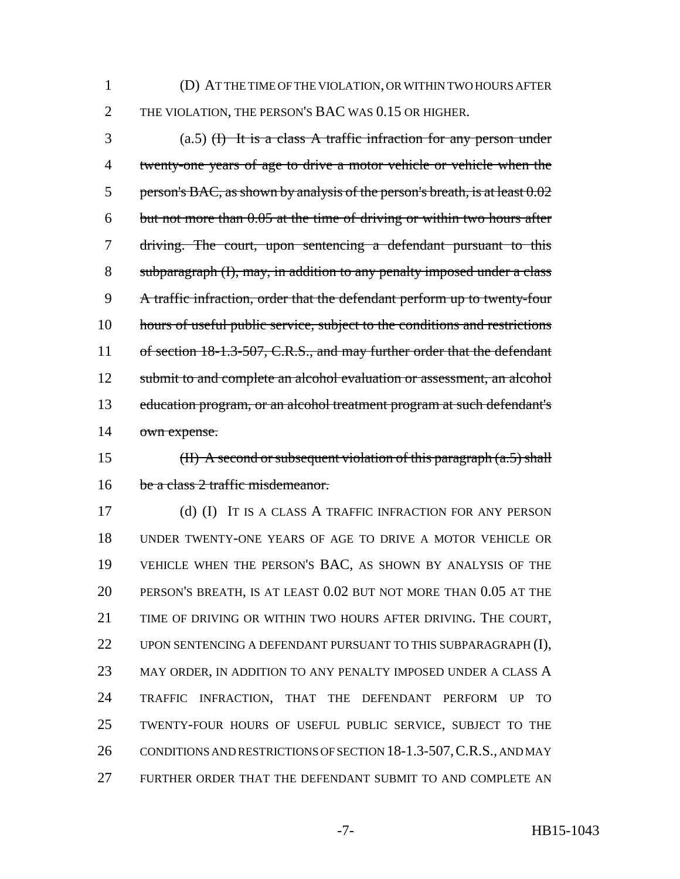(D) AT THE TIME OF THE VIOLATION, OR WITHIN TWO HOURS AFTER THE VIOLATION, THE PERSON'S BAC WAS 0.15 OR HIGHER.

 (a.5) (I) It is a class A traffic infraction for any person under twenty-one years of age to drive a motor vehicle or vehicle when the 5 person's BAC, as shown by analysis of the person's breath, is at least  $0.02$  but not more than 0.05 at the time of driving or within two hours after driving. The court, upon sentencing a defendant pursuant to this subparagraph (I), may, in addition to any penalty imposed under a class A traffic infraction, order that the defendant perform up to twenty-four hours of useful public service, subject to the conditions and restrictions 11 of section 18-1.3-507, C.R.S., and may further order that the defendant 12 submit to and complete an alcohol evaluation or assessment, an alcohol education program, or an alcohol treatment program at such defendant's own expense.

15 (II) A second or subsequent violation of this paragraph  $(a.5)$  shall 16 be a class 2 traffic misdemeanor.

 (d) (I) IT IS A CLASS A TRAFFIC INFRACTION FOR ANY PERSON UNDER TWENTY-ONE YEARS OF AGE TO DRIVE A MOTOR VEHICLE OR VEHICLE WHEN THE PERSON'S BAC, AS SHOWN BY ANALYSIS OF THE PERSON'S BREATH, IS AT LEAST 0.02 BUT NOT MORE THAN 0.05 AT THE TIME OF DRIVING OR WITHIN TWO HOURS AFTER DRIVING. THE COURT, 22 UPON SENTENCING A DEFENDANT PURSUANT TO THIS SUBPARAGRAPH (I), 23 MAY ORDER, IN ADDITION TO ANY PENALTY IMPOSED UNDER A CLASS A TRAFFIC INFRACTION, THAT THE DEFENDANT PERFORM UP TO TWENTY-FOUR HOURS OF USEFUL PUBLIC SERVICE, SUBJECT TO THE 26 CONDITIONS AND RESTRICTIONS OF SECTION 18-1.3-507, C.R.S., AND MAY FURTHER ORDER THAT THE DEFENDANT SUBMIT TO AND COMPLETE AN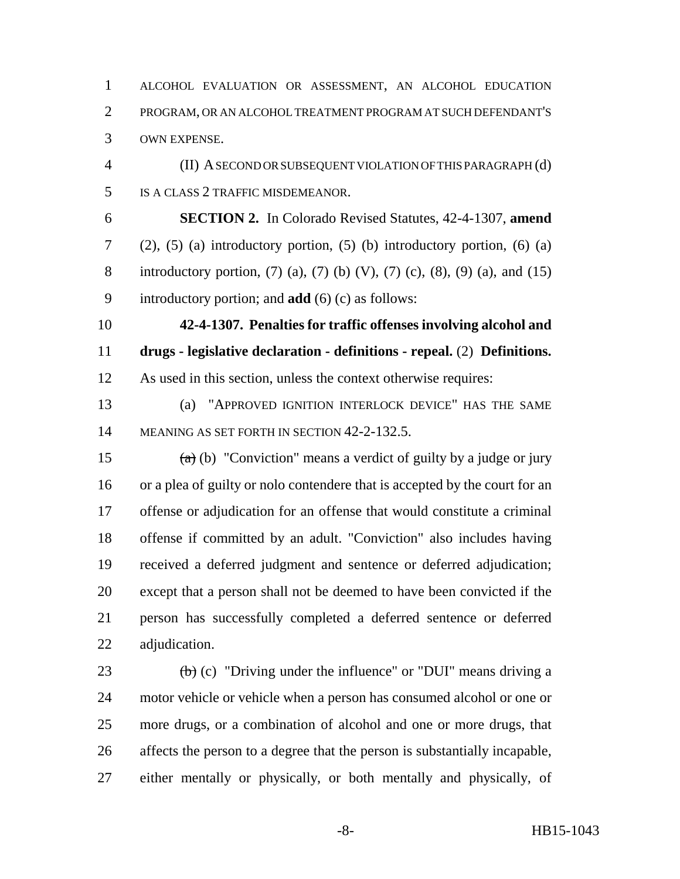ALCOHOL EVALUATION OR ASSESSMENT, AN ALCOHOL EDUCATION PROGRAM, OR AN ALCOHOL TREATMENT PROGRAM AT SUCH DEFENDANT'S OWN EXPENSE.

 (II) A SECOND OR SUBSEQUENT VIOLATION OF THIS PARAGRAPH (d) IS A CLASS 2 TRAFFIC MISDEMEANOR.

 **SECTION 2.** In Colorado Revised Statutes, 42-4-1307, **amend** (2), (5) (a) introductory portion, (5) (b) introductory portion, (6) (a) introductory portion, (7) (a), (7) (b) (V), (7) (c), (8), (9) (a), and (15) introductory portion; and **add** (6) (c) as follows:

 **42-4-1307. Penalties for traffic offenses involving alcohol and drugs - legislative declaration - definitions - repeal.** (2) **Definitions.** As used in this section, unless the context otherwise requires:

 (a) "APPROVED IGNITION INTERLOCK DEVICE" HAS THE SAME MEANING AS SET FORTH IN SECTION 42-2-132.5.

 $\left(\frac{a}{b}\right)$  "Conviction" means a verdict of guilty by a judge or jury or a plea of guilty or nolo contendere that is accepted by the court for an offense or adjudication for an offense that would constitute a criminal offense if committed by an adult. "Conviction" also includes having received a deferred judgment and sentence or deferred adjudication; except that a person shall not be deemed to have been convicted if the person has successfully completed a deferred sentence or deferred adjudication.

 $\left(\frac{b}{c}\right)$  (c) "Driving under the influence" or "DUI" means driving a motor vehicle or vehicle when a person has consumed alcohol or one or more drugs, or a combination of alcohol and one or more drugs, that affects the person to a degree that the person is substantially incapable, either mentally or physically, or both mentally and physically, of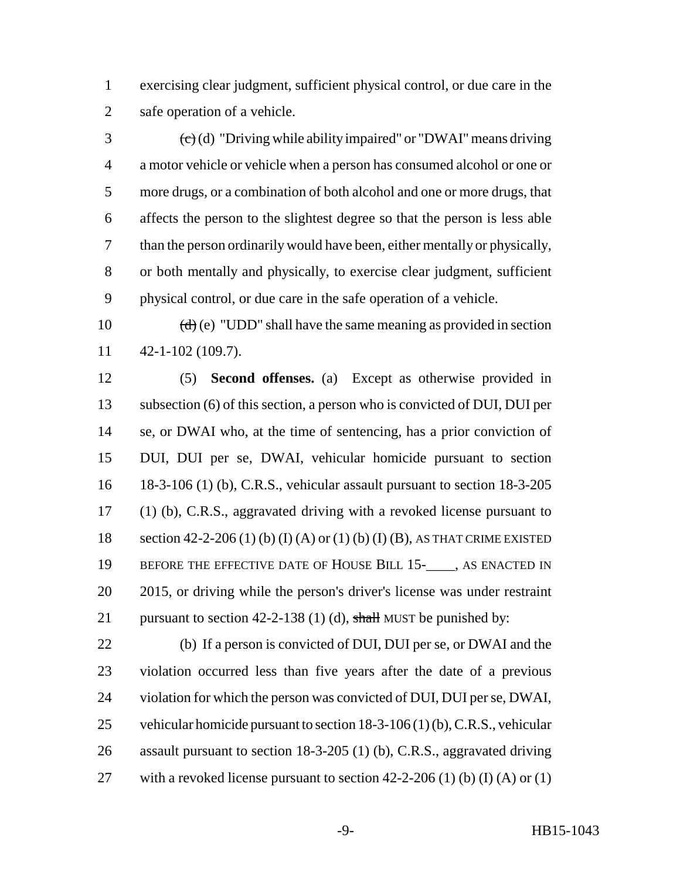exercising clear judgment, sufficient physical control, or due care in the safe operation of a vehicle.

 $\left(\frac{c}{c}\right)$  (d) "Driving while ability impaired" or "DWAI" means driving a motor vehicle or vehicle when a person has consumed alcohol or one or more drugs, or a combination of both alcohol and one or more drugs, that affects the person to the slightest degree so that the person is less able than the person ordinarily would have been, either mentally or physically, or both mentally and physically, to exercise clear judgment, sufficient physical control, or due care in the safe operation of a vehicle.

10  $(d)$  (e) "UDD" shall have the same meaning as provided in section 42-1-102 (109.7).

 (5) **Second offenses.** (a) Except as otherwise provided in subsection (6) of this section, a person who is convicted of DUI, DUI per se, or DWAI who, at the time of sentencing, has a prior conviction of DUI, DUI per se, DWAI, vehicular homicide pursuant to section 18-3-106 (1) (b), C.R.S., vehicular assault pursuant to section 18-3-205 (1) (b), C.R.S., aggravated driving with a revoked license pursuant to section 42-2-206 (1) (b) (I) (A) or (1) (b) (I) (B), AS THAT CRIME EXISTED 19 BEFORE THE EFFECTIVE DATE OF HOUSE BILL 15-\_\_\_\_, AS ENACTED IN 2015, or driving while the person's driver's license was under restraint 21 pursuant to section 42-2-138 (1) (d), shall MUST be punished by:

 (b) If a person is convicted of DUI, DUI per se, or DWAI and the violation occurred less than five years after the date of a previous violation for which the person was convicted of DUI, DUI per se, DWAI, vehicular homicide pursuant to section 18-3-106 (1) (b), C.R.S., vehicular assault pursuant to section 18-3-205 (1) (b), C.R.S., aggravated driving 27 with a revoked license pursuant to section 42-2-206 (1) (b) (I) (A) or (1)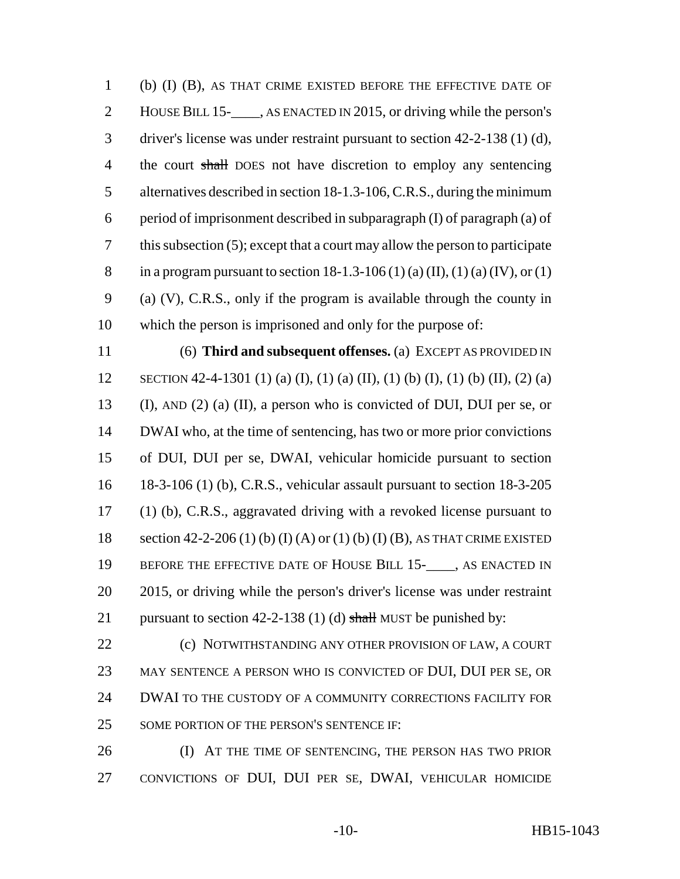(b) (I) (B), AS THAT CRIME EXISTED BEFORE THE EFFECTIVE DATE OF 2 HOUSE BILL 15-\_\_\_\_, AS ENACTED IN 2015, or driving while the person's driver's license was under restraint pursuant to section 42-2-138 (1) (d), 4 the court shall DOES not have discretion to employ any sentencing alternatives described in section 18-1.3-106, C.R.S., during the minimum period of imprisonment described in subparagraph (I) of paragraph (a) of this subsection (5); except that a court may allow the person to participate 8 in a program pursuant to section  $18-1.3-106 (1) (a) (II), (1) (a) (IV), or (1)$  (a) (V), C.R.S., only if the program is available through the county in which the person is imprisoned and only for the purpose of:

 (6) **Third and subsequent offenses.** (a) EXCEPT AS PROVIDED IN SECTION 42-4-1301 (1) (a) (I), (1) (a) (II), (1) (b) (I), (1) (b) (II), (2) (a) (I), AND (2) (a) (II), a person who is convicted of DUI, DUI per se, or DWAI who, at the time of sentencing, has two or more prior convictions of DUI, DUI per se, DWAI, vehicular homicide pursuant to section 18-3-106 (1) (b), C.R.S., vehicular assault pursuant to section 18-3-205 (1) (b), C.R.S., aggravated driving with a revoked license pursuant to section 42-2-206 (1) (b) (I) (A) or (1) (b) (I) (B), AS THAT CRIME EXISTED 19 BEFORE THE EFFECTIVE DATE OF HOUSE BILL 15-\_\_\_\_, AS ENACTED IN 2015, or driving while the person's driver's license was under restraint 21 pursuant to section  $42-2-138$  (1) (d) shall MUST be punished by:

**(c) NOTWITHSTANDING ANY OTHER PROVISION OF LAW, A COURT**  MAY SENTENCE A PERSON WHO IS CONVICTED OF DUI, DUI PER SE, OR DWAI TO THE CUSTODY OF A COMMUNITY CORRECTIONS FACILITY FOR 25 SOME PORTION OF THE PERSON'S SENTENCE IF:

 (I) AT THE TIME OF SENTENCING, THE PERSON HAS TWO PRIOR CONVICTIONS OF DUI, DUI PER SE, DWAI, VEHICULAR HOMICIDE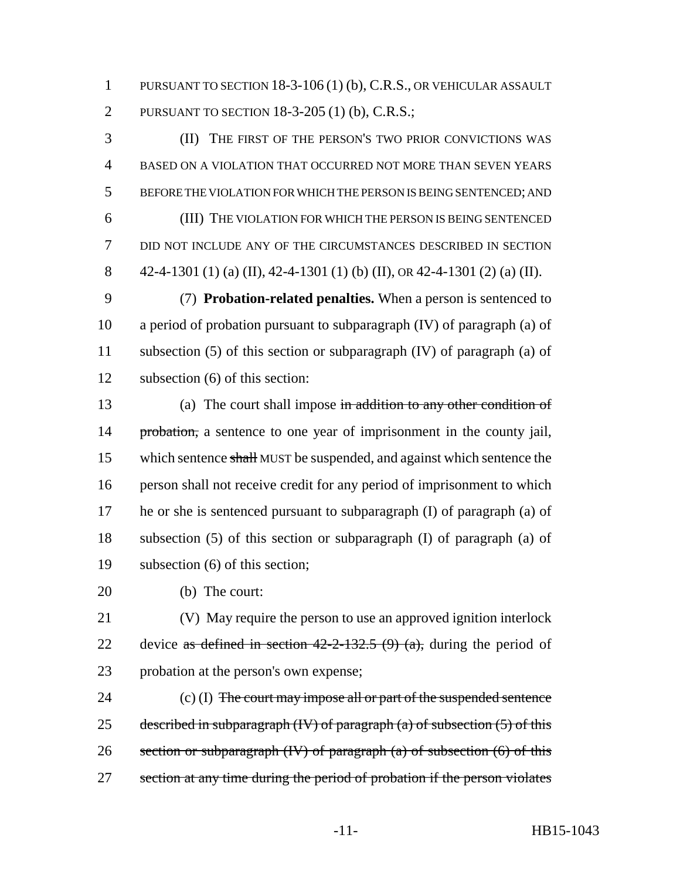PURSUANT TO SECTION 18-3-106 (1) (b), C.R.S., OR VEHICULAR ASSAULT PURSUANT TO SECTION 18-3-205 (1) (b), C.R.S.;

 (II) THE FIRST OF THE PERSON'S TWO PRIOR CONVICTIONS WAS BASED ON A VIOLATION THAT OCCURRED NOT MORE THAN SEVEN YEARS BEFORE THE VIOLATION FOR WHICH THE PERSON IS BEING SENTENCED; AND (III) THE VIOLATION FOR WHICH THE PERSON IS BEING SENTENCED DID NOT INCLUDE ANY OF THE CIRCUMSTANCES DESCRIBED IN SECTION 8 42-4-1301 (1) (a) (II), 42-4-1301 (1) (b) (II), or 42-4-1301 (2) (a) (II).

 (7) **Probation-related penalties.** When a person is sentenced to a period of probation pursuant to subparagraph (IV) of paragraph (a) of subsection (5) of this section or subparagraph (IV) of paragraph (a) of subsection (6) of this section:

13 (a) The court shall impose in addition to any other condition of 14 probation, a sentence to one year of imprisonment in the county jail, 15 which sentence shall MUST be suspended, and against which sentence the person shall not receive credit for any period of imprisonment to which he or she is sentenced pursuant to subparagraph (I) of paragraph (a) of subsection (5) of this section or subparagraph (I) of paragraph (a) of subsection (6) of this section;

(b) The court:

 (V) May require the person to use an approved ignition interlock 22 device as defined in section  $42-2-132.5$  (9) (a), during the period of probation at the person's own expense;

24 (c) (I) The court may impose all or part of the suspended sentence 25 described in subparagraph  $(W)$  of paragraph  $(a)$  of subsection  $(5)$  of this 26 section or subparagraph  $(W)$  of paragraph (a) of subsection (6) of this 27 section at any time during the period of probation if the person violates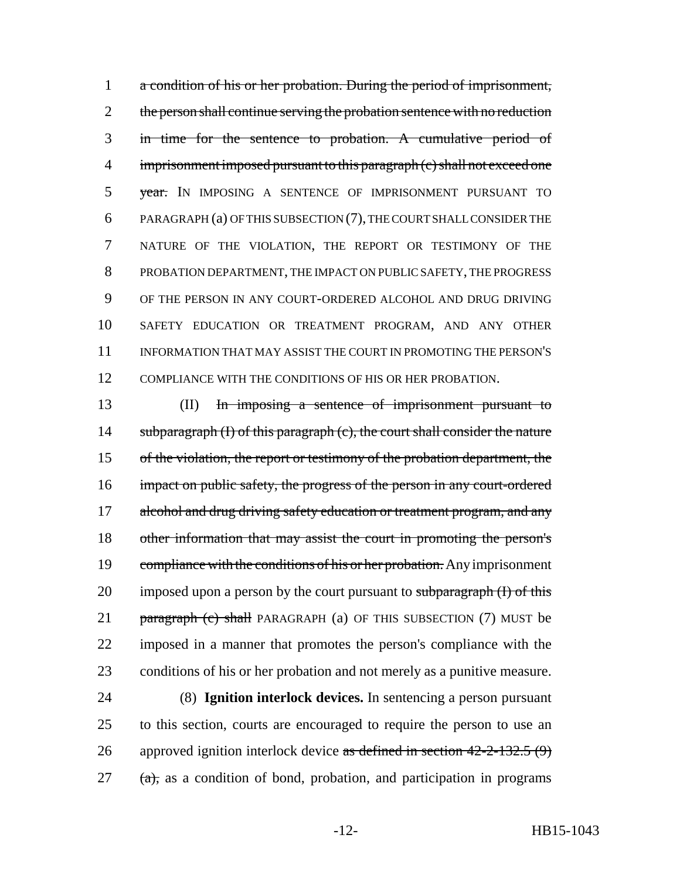a condition of his or her probation. During the period of imprisonment, 2 the person shall continue serving the probation sentence with no reduction in time for the sentence to probation. A cumulative period of 4 imprisonment imposed pursuant to this paragraph (c) shall not exceed one 5 year. IN IMPOSING A SENTENCE OF IMPRISONMENT PURSUANT TO PARAGRAPH (a) OF THIS SUBSECTION (7), THE COURT SHALL CONSIDER THE NATURE OF THE VIOLATION, THE REPORT OR TESTIMONY OF THE PROBATION DEPARTMENT, THE IMPACT ON PUBLIC SAFETY, THE PROGRESS OF THE PERSON IN ANY COURT-ORDERED ALCOHOL AND DRUG DRIVING SAFETY EDUCATION OR TREATMENT PROGRAM, AND ANY OTHER INFORMATION THAT MAY ASSIST THE COURT IN PROMOTING THE PERSON'S 12 COMPLIANCE WITH THE CONDITIONS OF HIS OR HER PROBATION.

13 (II) In imposing a sentence of imprisonment pursuant to 14 subparagraph (I) of this paragraph (c), the court shall consider the nature 15 of the violation, the report or testimony of the probation department, the 16 impact on public safety, the progress of the person in any court-ordered 17 alcohol and drug driving safety education or treatment program, and any 18 other information that may assist the court in promoting the person's 19 compliance with the conditions of his or her probation. Any imprisonment 20 imposed upon a person by the court pursuant to subparagraph  $(I)$  of this 21 paragraph (c) shall PARAGRAPH (a) OF THIS SUBSECTION (7) MUST be 22 imposed in a manner that promotes the person's compliance with the 23 conditions of his or her probation and not merely as a punitive measure.

 (8) **Ignition interlock devices.** In sentencing a person pursuant to this section, courts are encouraged to require the person to use an 26 approved ignition interlock device as defined in section  $42-2-132.5(9)$ (a), as a condition of bond, probation, and participation in programs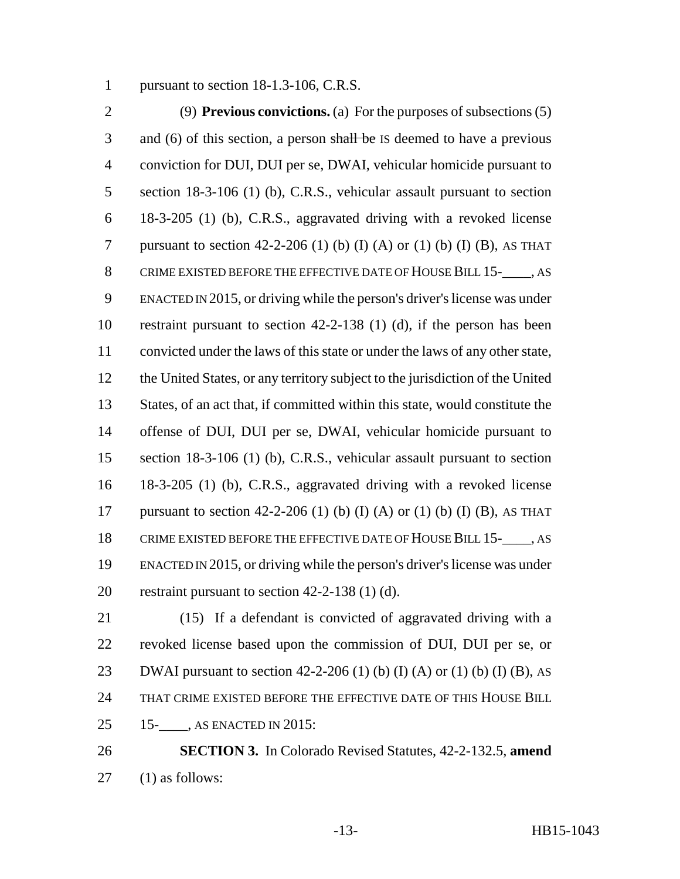pursuant to section 18-1.3-106, C.R.S.

 (9) **Previous convictions.** (a) For the purposes of subsections (5) 3 and (6) of this section, a person shall be IS deemed to have a previous conviction for DUI, DUI per se, DWAI, vehicular homicide pursuant to section 18-3-106 (1) (b), C.R.S., vehicular assault pursuant to section 18-3-205 (1) (b), C.R.S., aggravated driving with a revoked license 7 pursuant to section 42-2-206 (1) (b) (I) (A) or (1) (b) (I) (B), AS THAT CRIME EXISTED BEFORE THE EFFECTIVE DATE OF HOUSE BILL 15-\_\_\_\_, AS ENACTED IN 2015, or driving while the person's driver's license was under restraint pursuant to section 42-2-138 (1) (d), if the person has been convicted under the laws of this state or under the laws of any other state, the United States, or any territory subject to the jurisdiction of the United States, of an act that, if committed within this state, would constitute the offense of DUI, DUI per se, DWAI, vehicular homicide pursuant to section 18-3-106 (1) (b), C.R.S., vehicular assault pursuant to section 18-3-205 (1) (b), C.R.S., aggravated driving with a revoked license 17 pursuant to section 42-2-206 (1) (b) (I) (A) or (1) (b) (I) (B), AS THAT 18 CRIME EXISTED BEFORE THE EFFECTIVE DATE OF HOUSE BILL 15- , AS ENACTED IN 2015, or driving while the person's driver's license was under restraint pursuant to section 42-2-138 (1) (d).

 (15) If a defendant is convicted of aggravated driving with a revoked license based upon the commission of DUI, DUI per se, or 23 DWAI pursuant to section  $42-2-206$  (1) (b) (I) (A) or (1) (b) (I) (B), AS THAT CRIME EXISTED BEFORE THE EFFECTIVE DATE OF THIS HOUSE BILL 15-\_\_\_\_, AS ENACTED IN 2015:

 **SECTION 3.** In Colorado Revised Statutes, 42-2-132.5, **amend** (1) as follows: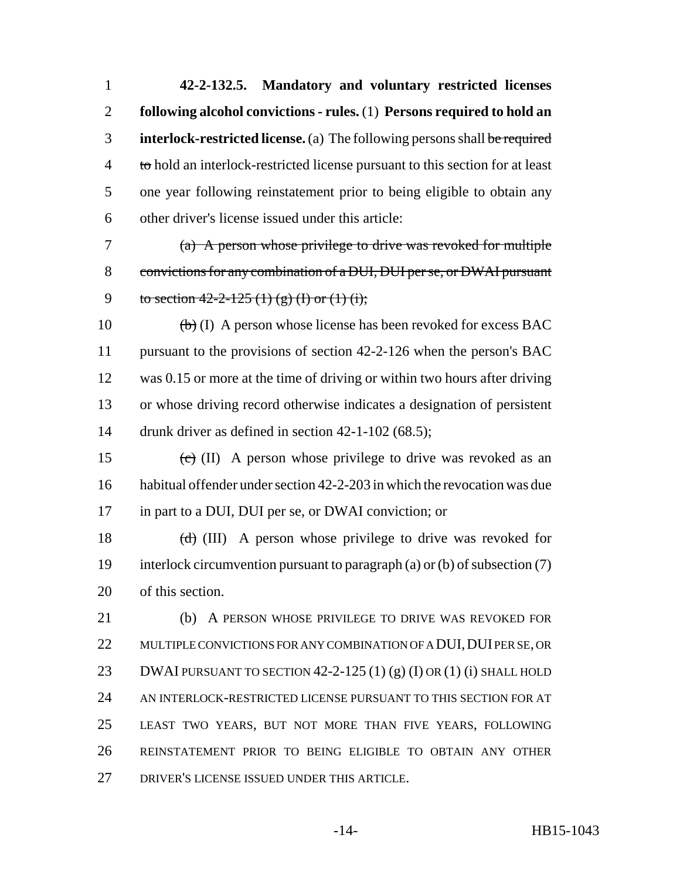**42-2-132.5. Mandatory and voluntary restricted licenses following alcohol convictions - rules.** (1) **Persons required to hold an interlock-restricted license.** (a) The following persons shall be required 4 to hold an interlock-restricted license pursuant to this section for at least one year following reinstatement prior to being eligible to obtain any other driver's license issued under this article:

 (a) A person whose privilege to drive was revoked for multiple convictions for any combination of a DUI, DUI per se, or DWAI pursuant 9 to section  $42-2-125(1)(g)(I)$  or  $(1)(i)$ ;

 $\left(\frac{b}{b}\right)$  (I) A person whose license has been revoked for excess BAC pursuant to the provisions of section 42-2-126 when the person's BAC was 0.15 or more at the time of driving or within two hours after driving or whose driving record otherwise indicates a designation of persistent 14 drunk driver as defined in section 42-1-102 (68.5);

15 (c) (II) A person whose privilege to drive was revoked as an habitual offender under section 42-2-203 in which the revocation was due in part to a DUI, DUI per se, or DWAI conviction; or

18  $(d)$  (III) A person whose privilege to drive was revoked for interlock circumvention pursuant to paragraph (a) or (b) of subsection (7) of this section.

 (b) A PERSON WHOSE PRIVILEGE TO DRIVE WAS REVOKED FOR 22 MULTIPLE CONVICTIONS FOR ANY COMBINATION OF A DUI, DUI PER SE, OR 23 DWAI PURSUANT TO SECTION 42-2-125 (1) (g) (I) OR (1) (i) SHALL HOLD AN INTERLOCK-RESTRICTED LICENSE PURSUANT TO THIS SECTION FOR AT LEAST TWO YEARS, BUT NOT MORE THAN FIVE YEARS, FOLLOWING REINSTATEMENT PRIOR TO BEING ELIGIBLE TO OBTAIN ANY OTHER DRIVER'S LICENSE ISSUED UNDER THIS ARTICLE.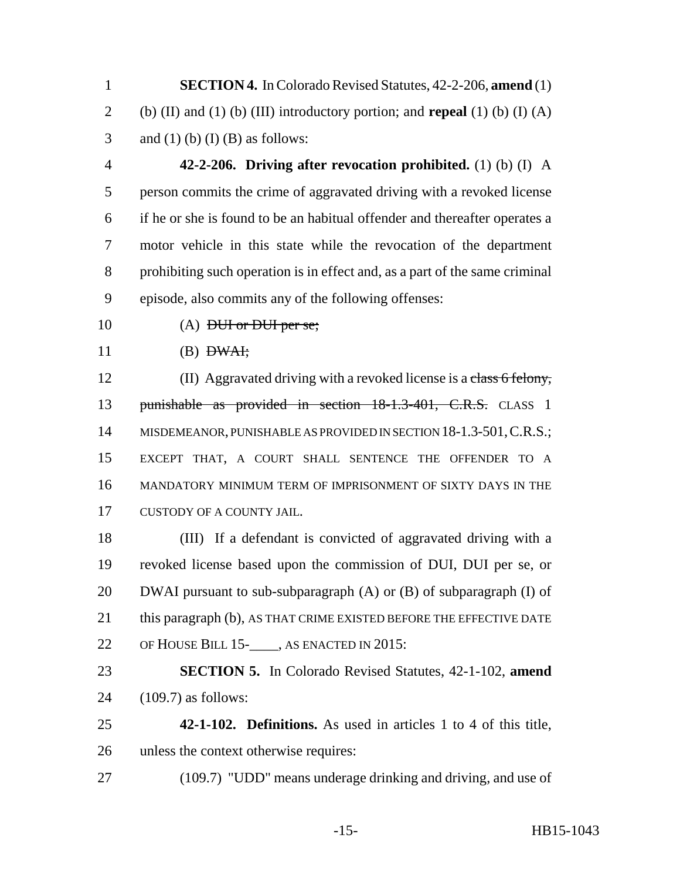**SECTION 4.** In Colorado Revised Statutes, 42-2-206, **amend** (1) (b) (II) and (1) (b) (III) introductory portion; and **repeal** (1) (b) (I) (A) 3 and (1) (b) (I) (B) as follows:

 **42-2-206. Driving after revocation prohibited.** (1) (b) (I) A person commits the crime of aggravated driving with a revoked license if he or she is found to be an habitual offender and thereafter operates a motor vehicle in this state while the revocation of the department prohibiting such operation is in effect and, as a part of the same criminal episode, also commits any of the following offenses:

10 (A) <del>DUI or DUI per se;</del>

(B)  $DWAt;$ 

12 (II) Aggravated driving with a revoked license is a class 6 felony, 13 punishable as provided in section 18-1.3-401, C.R.S. CLASS 1 14 MISDEMEANOR, PUNISHABLE AS PROVIDED IN SECTION 18-1.3-501, C.R.S.; EXCEPT THAT, A COURT SHALL SENTENCE THE OFFENDER TO A MANDATORY MINIMUM TERM OF IMPRISONMENT OF SIXTY DAYS IN THE CUSTODY OF A COUNTY JAIL.

 (III) If a defendant is convicted of aggravated driving with a revoked license based upon the commission of DUI, DUI per se, or DWAI pursuant to sub-subparagraph (A) or (B) of subparagraph (I) of 21 this paragraph (b), AS THAT CRIME EXISTED BEFORE THE EFFECTIVE DATE OF HOUSE BILL 15-\_\_\_\_, AS ENACTED IN 2015:

 **SECTION 5.** In Colorado Revised Statutes, 42-1-102, **amend** (109.7) as follows:

- **42-1-102. Definitions.** As used in articles 1 to 4 of this title, unless the context otherwise requires:
- (109.7) "UDD" means underage drinking and driving, and use of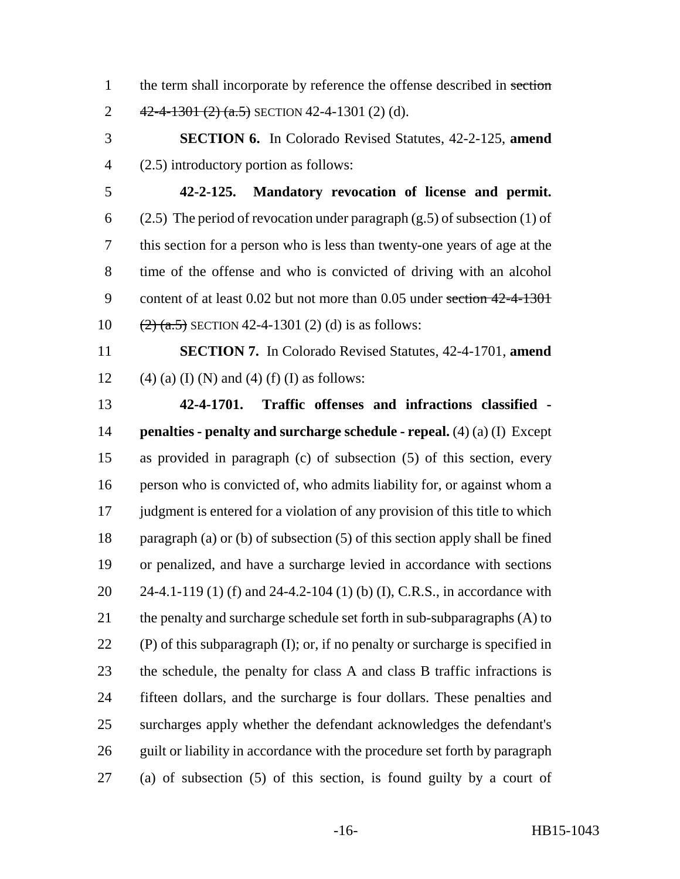- 1 the term shall incorporate by reference the offense described in section 2  $42-4-1301(2)$   $(a.5)$  SECTION 42-4-1301 (2) (d).
- **SECTION 6.** In Colorado Revised Statutes, 42-2-125, **amend** (2.5) introductory portion as follows:
- 

 **42-2-125. Mandatory revocation of license and permit.** 6 (2.5) The period of revocation under paragraph  $(g.5)$  of subsection (1) of this section for a person who is less than twenty-one years of age at the time of the offense and who is convicted of driving with an alcohol 9 content of at least 0.02 but not more than 0.05 under section 42-4-1301  $(2)$   $(3.5)$  SECTION 42-4-1301 (2) (d) is as follows:

 **SECTION 7.** In Colorado Revised Statutes, 42-4-1701, **amend** 12 (4) (a) (I) (N) and (4) (f) (I) as follows:

 **42-4-1701. Traffic offenses and infractions classified - penalties - penalty and surcharge schedule - repeal.** (4) (a) (I) Except as provided in paragraph (c) of subsection (5) of this section, every person who is convicted of, who admits liability for, or against whom a 17 judgment is entered for a violation of any provision of this title to which paragraph (a) or (b) of subsection (5) of this section apply shall be fined or penalized, and have a surcharge levied in accordance with sections 24-4.1-119 (1) (f) and 24-4.2-104 (1) (b) (I), C.R.S., in accordance with 21 the penalty and surcharge schedule set forth in sub-subparagraphs (A) to 22 (P) of this subparagraph  $(I)$ ; or, if no penalty or surcharge is specified in the schedule, the penalty for class A and class B traffic infractions is fifteen dollars, and the surcharge is four dollars. These penalties and surcharges apply whether the defendant acknowledges the defendant's 26 guilt or liability in accordance with the procedure set forth by paragraph (a) of subsection (5) of this section, is found guilty by a court of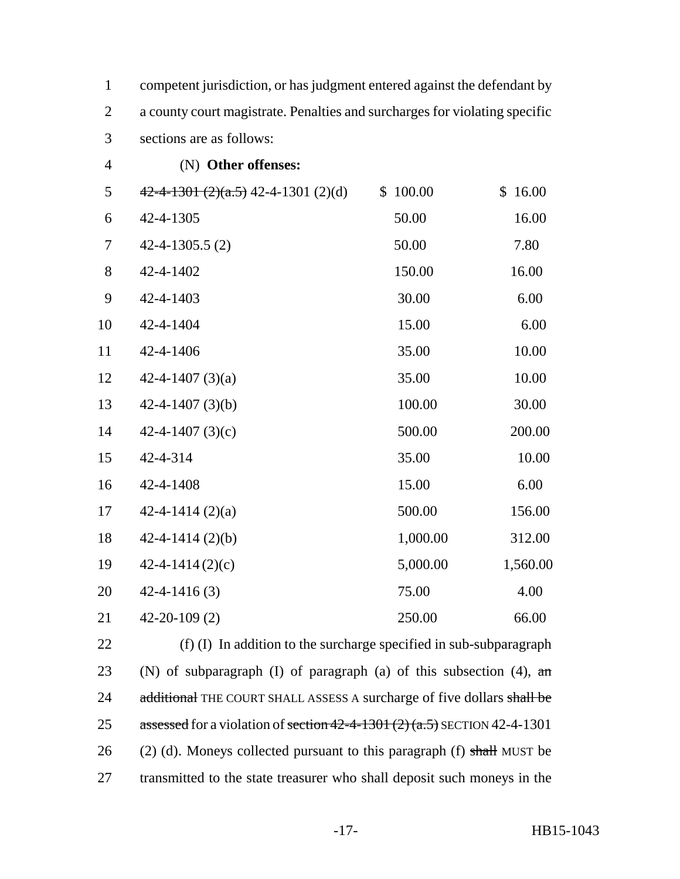|                | competent jurisdiction, or has judgment entered against the defendant by   |
|----------------|----------------------------------------------------------------------------|
|                | a county court magistrate. Penalties and surcharges for violating specific |
| 3 <sup>7</sup> | sections are as follows:                                                   |

| $\overline{4}$ | (N) Other offenses:                   |          |          |
|----------------|---------------------------------------|----------|----------|
| 5              | $42-4-1301 (2)(a.5)$ 42-4-1301 (2)(d) | \$100.00 | \$16.00  |
| 6              | 42-4-1305                             | 50.00    | 16.00    |
| 7              | $42 - 4 - 1305.5(2)$                  | 50.00    | 7.80     |
| $8\,$          | 42-4-1402                             | 150.00   | 16.00    |
| 9              | 42-4-1403                             | 30.00    | 6.00     |
| 10             | 42-4-1404                             | 15.00    | 6.00     |
| 11             | 42-4-1406                             | 35.00    | 10.00    |
| 12             | 42-4-1407 $(3)(a)$                    | 35.00    | 10.00    |
| 13             | $42 - 4 - 1407$ (3)(b)                | 100.00   | 30.00    |
| 14             | 42-4-1407 $(3)(c)$                    | 500.00   | 200.00   |
| 15             | 42-4-314                              | 35.00    | 10.00    |
| 16             | 42-4-1408                             | 15.00    | 6.00     |
| 17             | 42-4-1414 $(2)(a)$                    | 500.00   | 156.00   |
| 18             | $42 - 4 - 1414$ (2)(b)                | 1,000.00 | 312.00   |
| 19             | $42 - 4 - 1414(2)(c)$                 | 5,000.00 | 1,560.00 |
| 20             | $42 - 4 - 1416(3)$                    | 75.00    | 4.00     |
| 21             | $42 - 20 - 109(2)$                    | 250.00   | 66.00    |

 (f) (I) In addition to the surcharge specified in sub-subparagraph 23 (N) of subparagraph (I) of paragraph (a) of this subsection (4),  $\pi$ 24 additional THE COURT SHALL ASSESS A surcharge of five dollars shall be 25 assessed for a violation of section  $42-4-1301(2)$  (a.5) SECTION 42-4-1301 26 (2) (d). Moneys collected pursuant to this paragraph (f) shall MUST be 27 transmitted to the state treasurer who shall deposit such moneys in the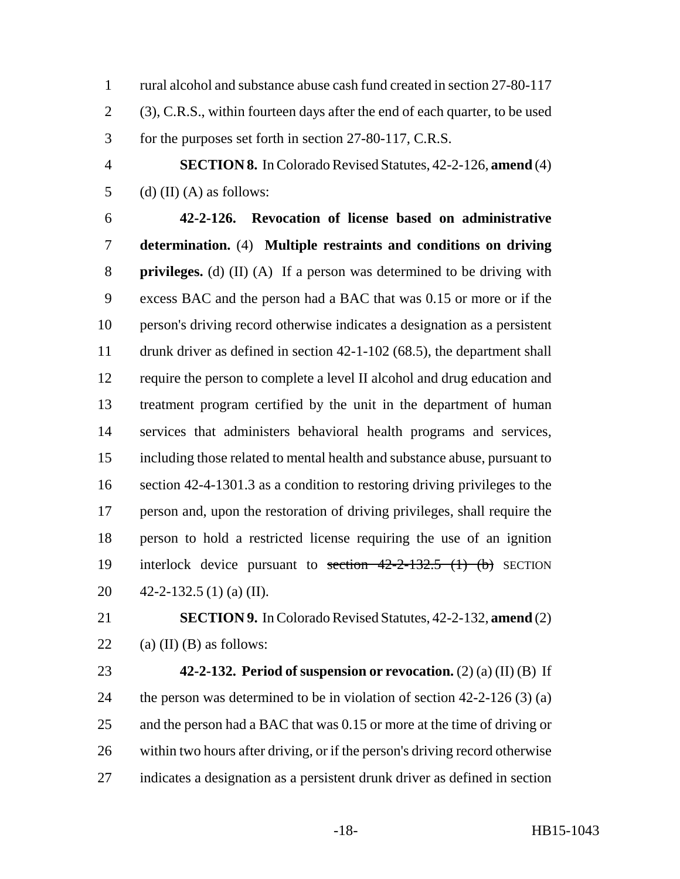rural alcohol and substance abuse cash fund created in section 27-80-117 (3), C.R.S., within fourteen days after the end of each quarter, to be used for the purposes set forth in section 27-80-117, C.R.S.

 **SECTION 8.** In Colorado Revised Statutes, 42-2-126, **amend** (4) 5 (d) (II) (A) as follows:

 **42-2-126. Revocation of license based on administrative determination.** (4) **Multiple restraints and conditions on driving privileges.** (d) (II) (A) If a person was determined to be driving with excess BAC and the person had a BAC that was 0.15 or more or if the person's driving record otherwise indicates a designation as a persistent drunk driver as defined in section 42-1-102 (68.5), the department shall require the person to complete a level II alcohol and drug education and treatment program certified by the unit in the department of human services that administers behavioral health programs and services, including those related to mental health and substance abuse, pursuant to section 42-4-1301.3 as a condition to restoring driving privileges to the person and, upon the restoration of driving privileges, shall require the person to hold a restricted license requiring the use of an ignition 19 interlock device pursuant to section 42-2-132.5 (1) (b) SECTION 42-2-132.5 (1) (a) (II).

 **SECTION 9.** In Colorado Revised Statutes, 42-2-132, **amend** (2) 22 (a) (II) (B) as follows:

 **42-2-132. Period of suspension or revocation.** (2) (a) (II) (B) If 24 the person was determined to be in violation of section 42-2-126 (3) (a) 25 and the person had a BAC that was 0.15 or more at the time of driving or within two hours after driving, or if the person's driving record otherwise indicates a designation as a persistent drunk driver as defined in section